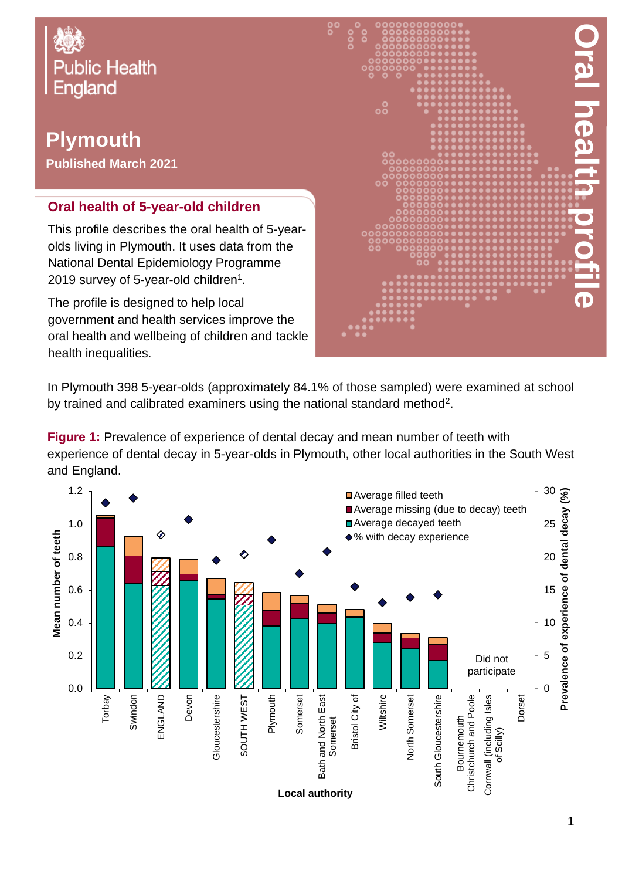

# **Plymouth**

**Published March 2021**

#### **Oral health of 5-year-old children**

This profile describes the oral health of 5-yearolds living in Plymouth. It uses data from the National Dental Epidemiology Programme 2019 survey of 5-year-old children $^{\rm 1}.$ 

The profile is designed to help local government and health services improve the oral health and wellbeing of children and tackle health inequalities.



In Plymouth 398 5-year-olds (approximately 84.1% of those sampled) were examined at school by trained and calibrated examiners using the national standard method<sup>2</sup>.

**Figure 1:** Prevalence of experience of dental decay and mean number of teeth with experience of dental decay in 5-year-olds in Plymouth, other local authorities in the South West and England.

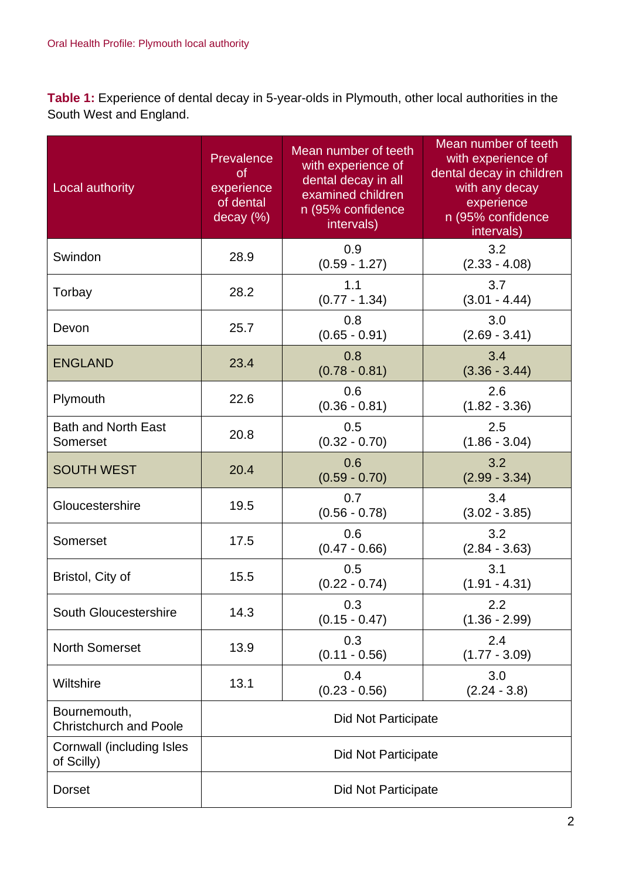**Table 1:** Experience of dental decay in 5-year-olds in Plymouth, other local authorities in the South West and England.

| Local authority                               | Prevalence<br><b>of</b><br>experience<br>of dental<br>decay (%) | Mean number of teeth<br>with experience of<br>dental decay in all<br>examined children<br>n (95% confidence<br>intervals) | Mean number of teeth<br>with experience of<br>dental decay in children<br>with any decay<br>experience<br>n (95% confidence<br>intervals) |  |
|-----------------------------------------------|-----------------------------------------------------------------|---------------------------------------------------------------------------------------------------------------------------|-------------------------------------------------------------------------------------------------------------------------------------------|--|
| Swindon                                       | 28.9                                                            | 0.9<br>$(0.59 - 1.27)$                                                                                                    | 3.2<br>$(2.33 - 4.08)$                                                                                                                    |  |
| Torbay                                        | 28.2                                                            | 1.1<br>$(0.77 - 1.34)$                                                                                                    | 3.7<br>$(3.01 - 4.44)$                                                                                                                    |  |
| Devon                                         | 25.7                                                            | 0.8<br>$(0.65 - 0.91)$                                                                                                    | 3.0<br>$(2.69 - 3.41)$                                                                                                                    |  |
| <b>ENGLAND</b>                                | 23.4                                                            | 0.8<br>$(0.78 - 0.81)$                                                                                                    | 3.4<br>$(3.36 - 3.44)$                                                                                                                    |  |
| Plymouth                                      | 22.6                                                            | 0.6<br>$(0.36 - 0.81)$                                                                                                    | 2.6<br>$(1.82 - 3.36)$                                                                                                                    |  |
| <b>Bath and North East</b><br>Somerset        | 20.8                                                            | 0.5<br>$(0.32 - 0.70)$                                                                                                    | 2.5<br>$(1.86 - 3.04)$                                                                                                                    |  |
| <b>SOUTH WEST</b>                             | 20.4                                                            | 0.6<br>$(0.59 - 0.70)$                                                                                                    | 3.2<br>$(2.99 - 3.34)$                                                                                                                    |  |
| Gloucestershire                               | 19.5                                                            | 0.7<br>$(0.56 - 0.78)$                                                                                                    | 3.4<br>$(3.02 - 3.85)$                                                                                                                    |  |
| Somerset                                      | 17.5                                                            | 0.6<br>$(0.47 - 0.66)$                                                                                                    | 3.2<br>$(2.84 - 3.63)$                                                                                                                    |  |
| Bristol, City of                              | 15.5                                                            | 0.5<br>$(0.22 - 0.74)$                                                                                                    | 3.1<br>$(1.91 - 4.31)$                                                                                                                    |  |
| South Gloucestershire                         | 14.3                                                            | 0.3<br>$(0.15 - 0.47)$                                                                                                    | $2.2\,$<br>$(1.36 - 2.99)$                                                                                                                |  |
| <b>North Somerset</b>                         | 13.9                                                            | 0.3<br>$(0.11 - 0.56)$                                                                                                    | 2.4<br>$(1.77 - 3.09)$                                                                                                                    |  |
| Wiltshire                                     | 13.1                                                            | 0.4<br>$(0.23 - 0.56)$                                                                                                    | 3.0<br>$(2.24 - 3.8)$                                                                                                                     |  |
| Bournemouth,<br><b>Christchurch and Poole</b> | <b>Did Not Participate</b>                                      |                                                                                                                           |                                                                                                                                           |  |
| Cornwall (including Isles<br>of Scilly)       | <b>Did Not Participate</b>                                      |                                                                                                                           |                                                                                                                                           |  |
| <b>Dorset</b>                                 | Did Not Participate                                             |                                                                                                                           |                                                                                                                                           |  |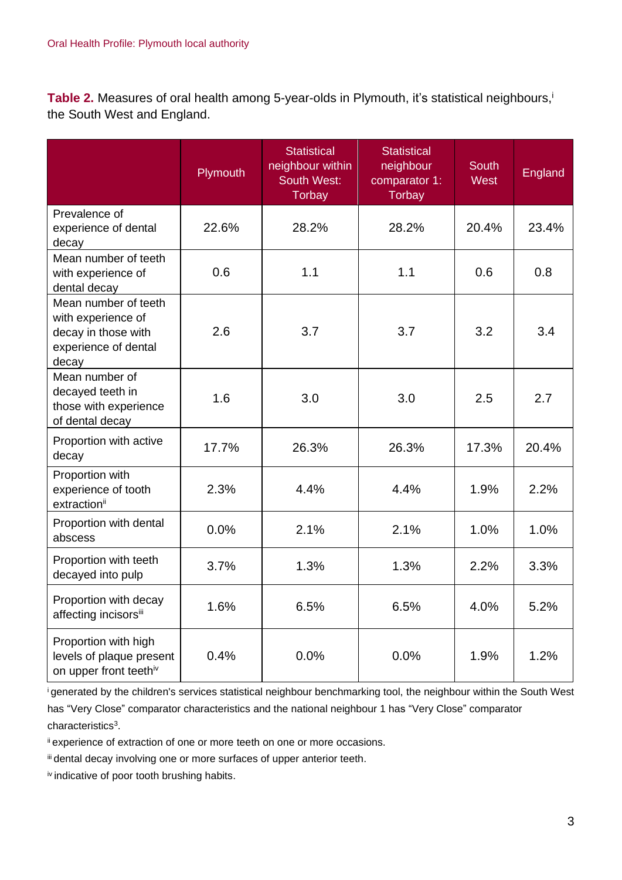**Table 2.** Measures of oral health among 5-year-olds in Plymouth, it's statistical neighbours, i the South West and England.

|                                                                                                    | Plymouth | <b>Statistical</b><br>neighbour within<br><b>South West:</b><br><b>Torbay</b> | Statistical<br>neighbour<br>comparator 1:<br><b>Torbay</b> | <b>South</b><br><b>West</b> | England |
|----------------------------------------------------------------------------------------------------|----------|-------------------------------------------------------------------------------|------------------------------------------------------------|-----------------------------|---------|
| Prevalence of<br>experience of dental<br>decay                                                     | 22.6%    | 28.2%                                                                         | 28.2%                                                      | 20.4%                       | 23.4%   |
| Mean number of teeth<br>with experience of<br>dental decay                                         | 0.6      | 1.1                                                                           | 1.1                                                        | 0.6                         | 0.8     |
| Mean number of teeth<br>with experience of<br>decay in those with<br>experience of dental<br>decay | 2.6      | 3.7                                                                           | 3.7                                                        | 3.2                         | 3.4     |
| Mean number of<br>decayed teeth in<br>those with experience<br>of dental decay                     | 1.6      | 3.0                                                                           | 3.0                                                        | 2.5                         | 2.7     |
| Proportion with active<br>decay                                                                    | 17.7%    | 26.3%                                                                         | 26.3%                                                      | 17.3%                       | 20.4%   |
| Proportion with<br>experience of tooth<br>extraction <sup>ii</sup>                                 | 2.3%     | 4.4%                                                                          | 4.4%                                                       | 1.9%                        | 2.2%    |
| Proportion with dental<br>abscess                                                                  | 0.0%     | 2.1%                                                                          | 2.1%                                                       | 1.0%                        | 1.0%    |
| Proportion with teeth<br>decayed into pulp                                                         | 3.7%     | 1.3%                                                                          | 1.3%                                                       | 2.2%                        | 3.3%    |
| Proportion with decay<br>affecting incisorsii                                                      | 1.6%     | 6.5%                                                                          | 6.5%                                                       | 4.0%                        | 5.2%    |
| Proportion with high<br>levels of plaque present<br>on upper front teethiv                         | 0.4%     | 0.0%                                                                          | 0.0%                                                       | 1.9%                        | 1.2%    |

<sup>i</sup>generated by the children's services statistical neighbour benchmarking tool, the neighbour within the South West has "Very Close" comparator characteristics and the national neighbour 1 has "Very Close" comparator characteristics<sup>3</sup>.

ii experience of extraction of one or more teeth on one or more occasions.

iii dental decay involving one or more surfaces of upper anterior teeth.

iv indicative of poor tooth brushing habits.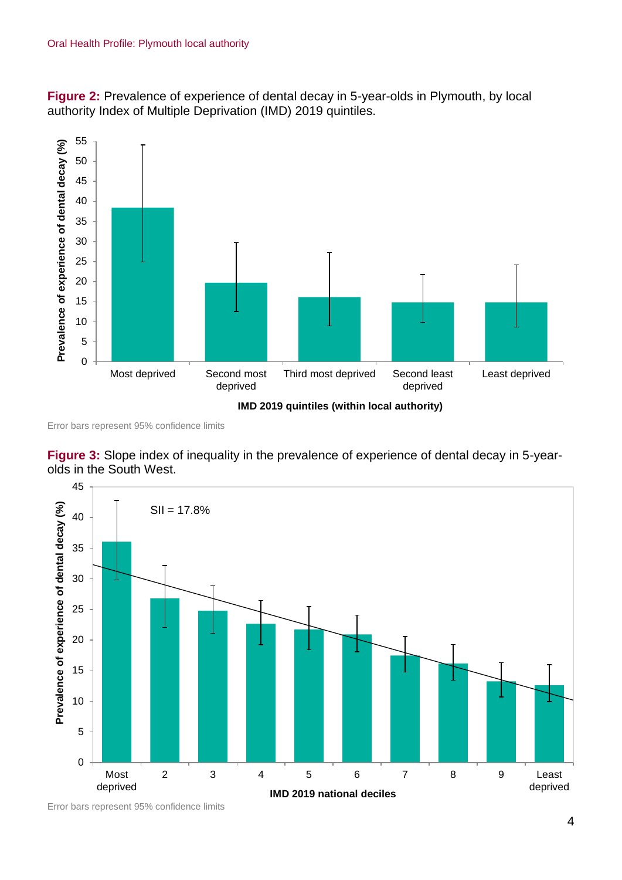**Figure 2:** Prevalence of experience of dental decay in 5-year-olds in Plymouth, by local authority Index of Multiple Deprivation (IMD) 2019 quintiles.



Error bars represent 95% confidence limits

**Figure 3:** Slope index of inequality in the prevalence of experience of dental decay in 5-yearolds in the South West.



Error bars represent 95% confidence limits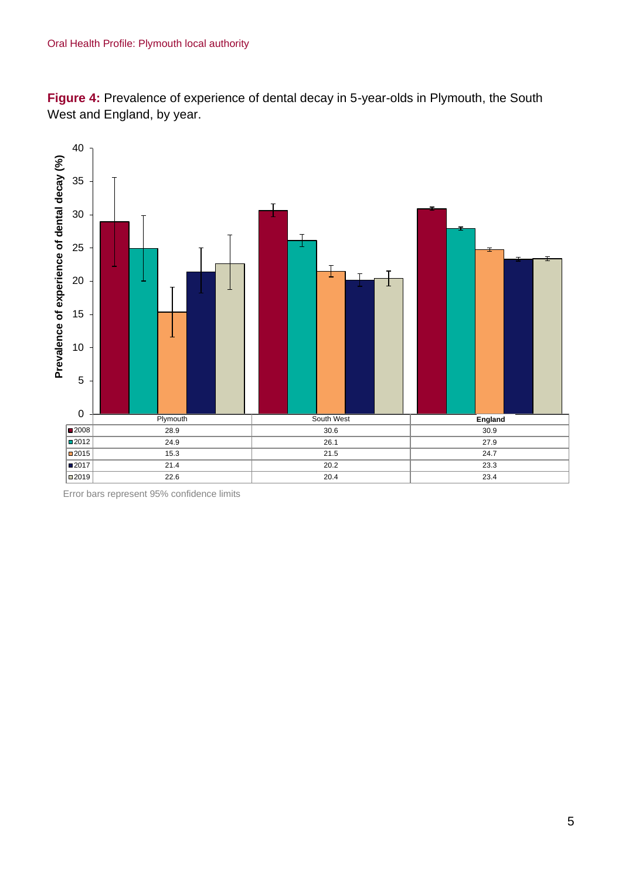**Figure 4:** Prevalence of experience of dental decay in 5-year-olds in Plymouth, the South West and England, by year.



Error bars represent 95% confidence limits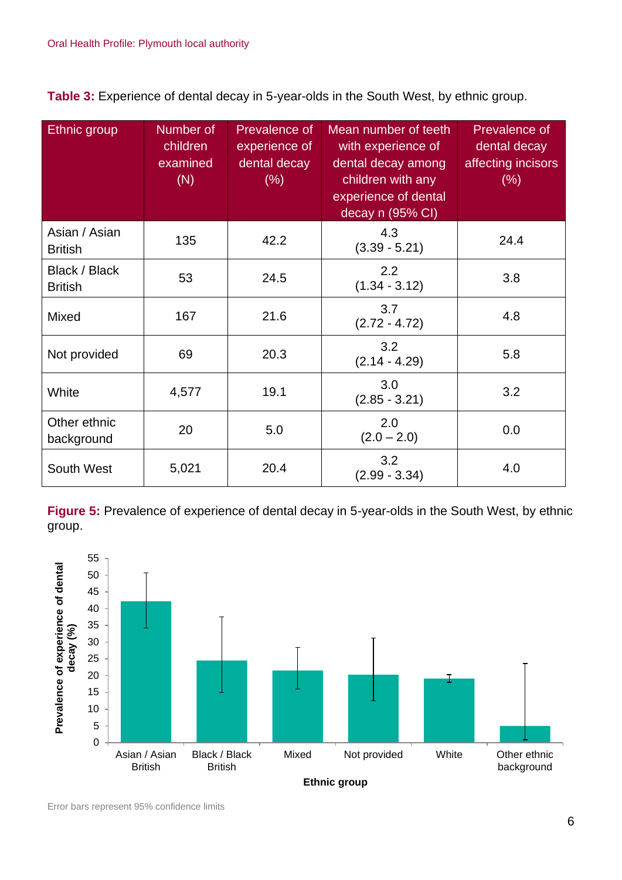**Table 3:** Experience of dental decay in 5-year-olds in the South West, by ethnic group.

| Ethnic group                    | Number of<br>children<br>examined<br>(N) | Prevalence of<br>experience of<br>dental decay<br>(% ) | Mean number of teeth<br>with experience of<br>dental decay among<br>children with any<br>experience of dental<br>decay n (95% CI) | Prevalence of<br>dental decay<br>affecting incisors<br>(%) |
|---------------------------------|------------------------------------------|--------------------------------------------------------|-----------------------------------------------------------------------------------------------------------------------------------|------------------------------------------------------------|
| Asian / Asian<br><b>British</b> | 135                                      | 42.2                                                   | 4.3<br>$(3.39 - 5.21)$                                                                                                            | 24.4                                                       |
| Black / Black<br><b>British</b> | 53                                       | 24.5                                                   | 2.2<br>$(1.34 - 3.12)$                                                                                                            | 3.8                                                        |
| <b>Mixed</b>                    | 167                                      | 21.6                                                   | 3.7<br>$(2.72 - 4.72)$                                                                                                            | 4.8                                                        |
| Not provided                    | 69                                       | 20.3                                                   | 3.2<br>$(2.14 - 4.29)$                                                                                                            | 5.8                                                        |
| White                           | 4,577                                    | 19.1                                                   | 3.0<br>$(2.85 - 3.21)$                                                                                                            | 3.2                                                        |
| Other ethnic<br>background      | 20                                       | 5.0                                                    | 2.0<br>$(2.0 - 2.0)$                                                                                                              | 0.0                                                        |
| South West                      | 5,021                                    | 20.4                                                   | 3.2<br>$(2.99 - 3.34)$                                                                                                            | 4.0                                                        |

**Figure 5:** Prevalence of experience of dental decay in 5-year-olds in the South West, by ethnic group.



Error bars represent 95% confidence limits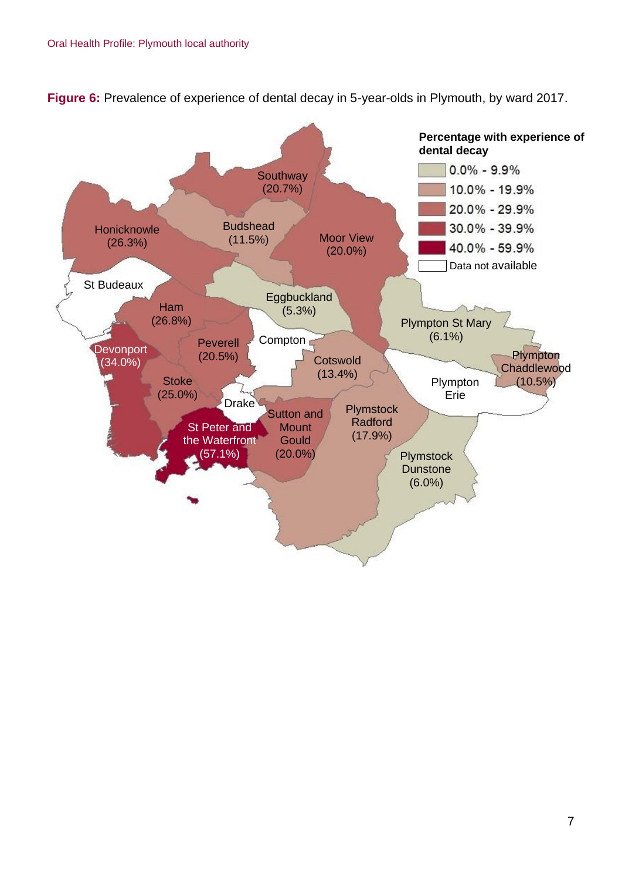

**Figure 6:** Prevalence of experience of dental decay in 5-year-olds in Plymouth, by ward 2017.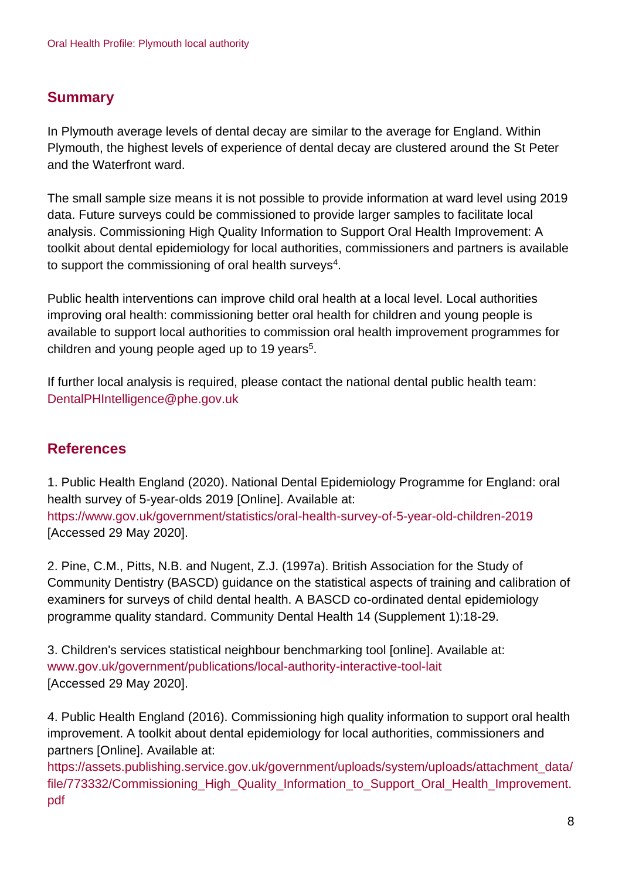### **Summary**

In Plymouth average levels of dental decay are similar to the average for England. Within Plymouth, the highest levels of experience of dental decay are clustered around the St Peter and the Waterfront ward.

The small sample size means it is not possible to provide information at ward level using 2019 data. Future surveys could be commissioned to provide larger samples to facilitate local analysis. Commissioning High Quality Information to Support Oral Health Improvement: A toolkit about dental epidemiology for local authorities, commissioners and partners is available to support the commissioning of oral health surveys $^4$ .

Public health interventions can improve child oral health at a local level. Local authorities improving oral health: commissioning better oral health for children and young people is available to support local authorities to commission oral health improvement programmes for children and young people aged up to 19 years<sup>5</sup>.

If further local analysis is required, please contact the national dental public health team: DentalPHIntelligence@phe.gov.uk

## **References**

1. Public Health England (2020). National Dental Epidemiology Programme for England: oral health survey of 5-year-olds 2019 [Online]. Available at: <https://www.gov.uk/government/statistics/oral-health-survey-of-5-year-old-children-2019> [Accessed 29 May 2020].

2. Pine, C.M., Pitts, N.B. and Nugent, Z.J. (1997a). British Association for the Study of Community Dentistry (BASCD) guidance on the statistical aspects of training and calibration of examiners for surveys of child dental health. A BASCD co-ordinated dental epidemiology programme quality standard. Community Dental Health 14 (Supplement 1):18-29.

3. Children's services statistical neighbour benchmarking tool [online]. Available at: [www.gov.uk/government/publications/local-authority-interactive-tool-lait](http://www.gov.uk/government/publications/local-authority-interactive-tool-lait) [Accessed 29 May 2020].

4. Public Health England (2016). Commissioning high quality information to support oral health improvement. A toolkit about dental epidemiology for local authorities, commissioners and partners [Online]. Available at:

[https://assets.publishing.service.gov.uk/government/uploads/system/uploads/attachment\\_data/](https://assets.publishing.service.gov.uk/government/uploads/system/uploads/attachment_data/file/773332/Commissioning_High_Quality_Information_to_Support_Oral_Health_Improvement.pdf) [file/773332/Commissioning\\_High\\_Quality\\_Information\\_to\\_Support\\_Oral\\_Health\\_Improvement.](https://assets.publishing.service.gov.uk/government/uploads/system/uploads/attachment_data/file/773332/Commissioning_High_Quality_Information_to_Support_Oral_Health_Improvement.pdf) [pdf](https://assets.publishing.service.gov.uk/government/uploads/system/uploads/attachment_data/file/773332/Commissioning_High_Quality_Information_to_Support_Oral_Health_Improvement.pdf)